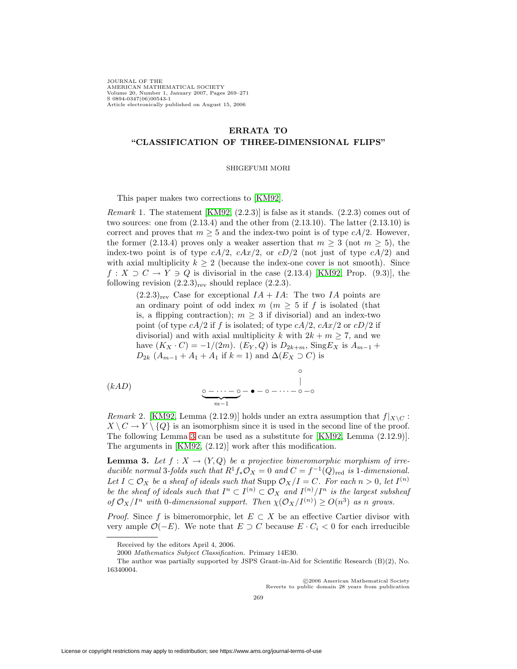JOURNAL OF THE AMERICAN MATHEMATICAL SOCIETY Volume 20, Number 1, January 2007, Pages 269–271 S 0894-0347(06)00543-1 Article electronically published on August 15, 2006

## **ERRATA TO "CLASSIFICATION OF THREE-DIMENSIONAL FLIPS"**

## SHIGEFUMI MORI

This paper makes two corrections to [\[KM92\]](#page-2-0).

*Remark* 1. The statement  $[KM92, (2.2.3)]$  $[KM92, (2.2.3)]$  is false as it stands.  $(2.2.3)$  comes out of two sources: one from  $(2.13.4)$  and the other from  $(2.13.10)$ . The latter  $(2.13.10)$  is correct and proves that  $m \geq 5$  and the index-two point is of type  $cA/2$ . However, the former (2.13.4) proves only a weaker assertion that  $m \geq 3$  (not  $m \geq 5$ ), the index-two point is of type  $cA/2$ ,  $cAx/2$ , or  $cD/2$  (not just of type  $cA/2$ ) and with axial multiplicity  $k > 2$  (because the index-one cover is not smooth). Since  $f: X \supset C \to Y \ni Q$  is divisorial in the case (2.13.4) [\[KM92,](#page-2-0) Prop. (9.3)], the following revision  $(2.2.3)_{\text{rev}}$  should replace  $(2.2.3)$ .

 $(2.2.3)_{\text{rev}}$  Case for exceptional  $IA + IA$ : The two IA points are an ordinary point of odd index  $m$  ( $m \geq 5$  if f is isolated (that is, a flipping contraction);  $m \geq 3$  if divisorial) and an index-two point (of type  $cA/2$  if f is isolated; of type  $cA/2$ ,  $cAx/2$  or  $cD/2$  if divisorial) and with axial multiplicity k with  $2k + m \geq 7$ , and we have  $(K_X \cdot C) = -1/(2m)$ .  $(E_Y, Q)$  is  $D_{2k+m}$ , Sing  $E_X$  is  $A_{m-1}$  +  $D_{2k}$   $(A_{m-1} + A_1 + A_1)$  if  $k = 1$ ) and  $\Delta(E_X \supset C)$  is

$$
(kAD) \qquad \qquad \underbrace{\circ - \cdots - \circ}_{m-1} - \bullet - \circ - \cdots - \circ - \circ
$$

*Remark* 2. [\[KM92,](#page-2-0) Lemma (2.12.9)] holds under an extra assumption that  $f|_{X\setminus C}$ :  $X \setminus C \to Y \setminus \{Q\}$  is an isomorphism since it is used in the second line of the proof. The following Lemma [3](#page-0-0) can be used as a substitute for [\[KM92,](#page-2-0) Lemma (2.12.9)]. The arguments in [\[KM92,](#page-2-0) (2.12)] work after this modification.

<span id="page-0-0"></span>**Lemma 3.** Let  $f: X \to (Y,Q)$  be a projective bimeromorphic morphism of irreducible normal 3-folds such that  $R^1f_*\mathcal{O}_X = 0$  and  $C = f^{-1}(Q)_{\text{red}}$  is 1-dimensional. Let  $I \subset \mathcal{O}_X$  be a sheaf of ideals such that Supp  $\mathcal{O}_X/I = C$ . For each  $n > 0$ , let  $I^{(n)}$ be the sheaf of ideals such that  $I^n \subset I^{(n)} \subset \mathcal{O}_X$  and  $I^{(n)}/I^n$  is the largest subsheaf of  $\mathcal{O}_X/I^n$  with 0-dimensional support. Then  $\chi(\mathcal{O}_X/I^{(n)}) \geq O(n^3)$  as n grows.

*Proof.* Since f is bimeromorphic, let  $E \subset X$  be an effective Cartier divisor with very ample  $\mathcal{O}(-E)$ . We note that  $E \supset C$  because  $E \cdot C_i < 0$  for each irreducible

c 2006 American Mathematical Society Reverts to public domain 28 years from publication

Received by the editors April 4, 2006.

<sup>2000</sup> Mathematics Subject Classification. Primary 14E30.

The author was partially supported by JSPS Grant-in-Aid for Scientific Research (B)(2), No. 16340004.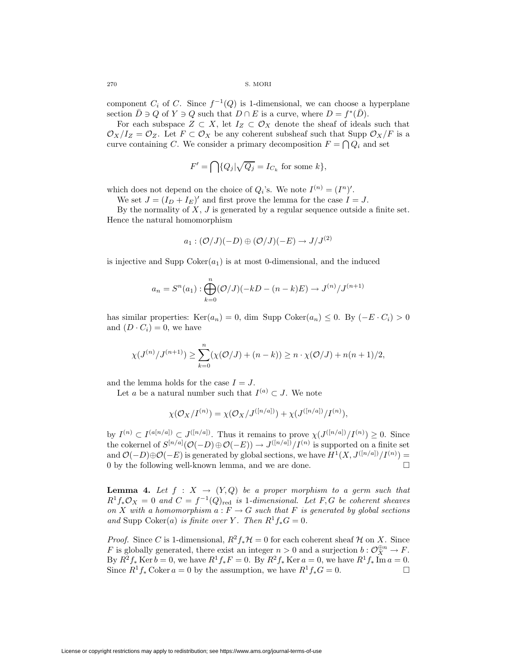270 S. MORI

component  $C_i$  of C. Since  $f^{-1}(Q)$  is 1-dimensional, we can choose a hyperplane section  $\overline{D} \ni Q$  of  $Y \ni Q$  such that  $D \cap E$  is a curve, where  $D = f^*(\overline{D})$ .

For each subspace  $Z \subset X$ , let  $I_Z \subset \mathcal{O}_X$  denote the sheaf of ideals such that  $\mathcal{O}_X/I_Z = \mathcal{O}_Z$ . Let  $F \subset \mathcal{O}_X$  be any coherent subsheaf such that Supp  $\mathcal{O}_X/F$  is a curve containing C. We consider a primary decomposition  $F = \bigcap Q_i$  and set

$$
F' = \bigcap \{Q_j | \sqrt{Q_j} = I_{C_k} \text{ for some } k\},\
$$

which does not depend on the choice of  $Q_i$ 's. We note  $I^{(n)} = (I^n)'$ .

We set  $J = (I_D + I_E)'$  and first prove the lemma for the case  $I = J$ .

By the normality of  $X, J$  is generated by a regular sequence outside a finite set. Hence the natural homomorphism

$$
a_1:({\cal O}/J)(-D)\oplus({\cal O}/J)(-E)\to J/J^{(2)}
$$

is injective and Supp  $Coker(a_1)$  is at most 0-dimensional, and the induced

$$
a_n = S^n(a_1) : \bigoplus_{k=0}^n (\mathcal{O}/J)(-kD - (n-k)E) \to J^{(n)}/J^{(n+1)}
$$

has similar properties:  $\text{Ker}(a_n) = 0$ , dim Supp Coker $(a_n) \leq 0$ . By  $(-E \cdot C_i) > 0$ and  $(D \cdot C_i) = 0$ , we have

$$
\chi(J^{(n)}/J^{(n+1)}) \ge \sum_{k=0}^{n} (\chi(\mathcal{O}/J) + (n-k)) \ge n \cdot \chi(\mathcal{O}/J) + n(n+1)/2,
$$

and the lemma holds for the case  $I = J$ .

Let a be a natural number such that  $I^{(a)} \subset J$ . We note

$$
\chi(\mathcal{O}_X/I^{(n)}) = \chi(\mathcal{O}_X/J^{([n/a])}) + \chi(J^{([n/a])}/I^{(n)}),
$$

by  $I^{(n)} \subset I^{(a[n/a])} \subset J^{([n/a])}$ . Thus it remains to prove  $\chi(J^{([n/a])}/I^{(n)}) \geq 0$ . Since the cokernel of  $S^{[n/a]}(\mathcal{O}(-D) \oplus \mathcal{O}(-E)) \to J^{([n/a])}/I^{(n)}$  is supported on a finite set and  $\mathcal{O}(-D) \oplus \mathcal{O}(-E)$  is generated by global sections, we have  $H^1(X, J^{([n/a])}/I^{(n)}) =$ 0 by the following well-known lemma, and we are done.

**Lemma 4.** Let  $f : X \to (Y,Q)$  be a proper morphism to a germ such that  $R^1f_*\mathcal{O}_X = 0$  and  $C = f^{-1}(Q)_{\text{red}}$  is 1-dimensional. Let F, G be coherent sheaves on X with a homomorphism  $a: F \to G$  such that F is generated by global sections and Supp Coker(a) is finite over Y. Then  $R^1f_*G = 0$ .

*Proof.* Since C is 1-dimensional,  $R^2 f_* H = 0$  for each coherent sheaf H on X. Since F is globally generated, there exist an integer  $n > 0$  and a surjection  $b: \mathcal{O}_X^{\oplus n} \to F$ . By  $R^2f_*$  Ker  $b = 0$ , we have  $R^1f_*F = 0$ . By  $R^2f_*$  Ker  $a = 0$ , we have  $R^1f_*$  Im  $a = 0$ .<br>Since  $R^1f$ , Coker  $a = 0$  by the assumption we have  $R^1f$ ,  $G = 0$ Since  $R^1f_*$  Coker  $a = 0$  by the assumption, we have  $R^1f_*G = 0$ .